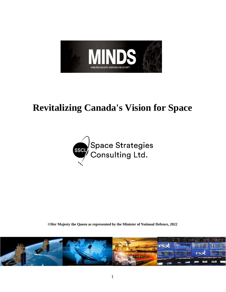

# **Revitalizing Canada's Vision for Space**



**©Her Majesty the Queen as represented by the Minister of National Defence, 2022**

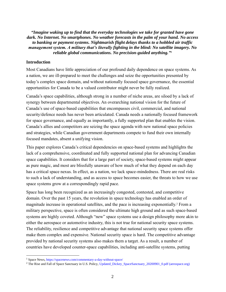*"Imagine waking up to find that the everyday technologies we take for granted have gone dark. No Internet. No smartphones. No weather forecasts in the palm of your hand. No access to banking or payment systems. Nightmarish flight delays thanks to a hobbled air traffic management system. A military that's literally fighting in the blind: No satellite imagery. No reliable global communications. No precision-guided anything." 1*

#### **Introduction**

Most Canadians have little appreciation of our profound daily dependence on space systems. As a nation, we are ill-prepared to meet the challenges and seize the opportunities presented by today's complex space domain, and without nationally focused space governance, the essential opportunities for Canada to be a valued contributor might never be fully realized.

Canada's space capabilities, although strong in a number of niche areas, are siloed by a lack of synergy between departmental objectives. An overarching national vision for the future of Canada's use of space-based capabilities that encompasses civil, commercial, and national security/defence needs has never been articulated. Canada needs a nationally focused framework for space governance, and equally as importantly, a fully supported plan that enables the vision. Canada's allies and competitors are seizing the space agenda with new national space policies and strategies, while Canadian government departments compete to fund their own internally focused mandates, absent a unifying vision.

This paper explores Canada's critical dependencies on space-based systems and highlights the lack of a comprehensive, coordinated and fully supported national plan for advancing Canadian space capabilities. It considers that for a large part of society, space-based systems might appear as pure magic, and most are blissfully unaware of how much of what they depend on each day has a critical space nexus. In effect, as a nation, we lack space-mindedness. There are real risks to such a lack of understanding, and as access to space becomes easier, the threats to how we use space systems grow at a correspondingly rapid pace.

Space has long been recognized as an increasingly congested, contested, and competitive domain. Over the past 15 years, the revolution in space technology has enabled an order of magnitude increase in operational satellites, and the pace is increasing exponentially. <sup>2</sup> From a military perspective, space is often considered the ultimate high ground and as such space-based systems are highly coveted. Although "new" space systems use a design philosophy more akin to either the aerospace or automotive industry, this is not true for national security space systems. The reliability, resilience and competitive advantage that national security space systems offer make them complex and expensive. National security space is hard. The competitive advantage provided by national security systems also makes them a target. As a result, a number of countries have developed counter-space capabilities, including anti-satellite systems, putting

<sup>1</sup> Space News[, https://spacenews.com/commentary-a-day-without-space/](https://spacenews.com/commentary-a-day-without-space/)

<sup>&</sup>lt;sup>2</sup> The Rise and Fall of Space Sanctuary in U.S. Policy[, Updated\\_Dickey\\_SpaceSanctuary\\_20200901\\_0.pdf \(aerospace.org\)](https://aerospace.org/sites/default/files/2020-09/Updated_Dickey_SpaceSanctuary_20200901_0.pdf?msclkid=7c2a3f75a6da11ec9ea0cc8e52bc8924)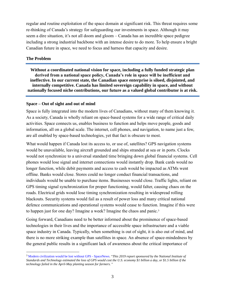regular and routine exploitation of the space domain at significant risk. This threat requires some re-thinking of Canada's strategy for safeguarding our investments in space. Although it may seem a dire situation, it's not all doom and gloom – Canada has an incredible space pedigree including a strong industrial backbone with an intense desire to do more. To help ensure a bright Canadian future in space, we need to focus and harness that capacity and desire.

#### **The Problem**

**Without a coordinated national vision for space, including a fully funded strategic plan derived from a national space policy, Canada's role in space will be inefficient and ineffective. In our current state, the Canadian space enterprise is siloed, disjointed, and internally competitive. Canada has limited sovereign capability in space, and without nationally focused niche contributions, our future as a valued global contributor is at risk.**

### **Space – Out of sight and out of mind**

Space is fully integrated into the modern lives of Canadians, without many of them knowing it. As a society, Canada is wholly reliant on space-based systems for a wide range of critical daily activities. Space connects us, enables business to function and helps move people, goods and information, all on a global scale. The internet, cell phones, and navigation, to name just a few, are all enabled by space-based technologies, yet that fact is obscure to most.

What would happen if Canada lost its access to, or use of, satellites? GPS navigation systems would be unavailable, leaving aircraft grounded and ships stranded at sea or in ports. Clocks would not synchronize to a universal standard time bringing down global financial systems. Cell phones would lose signal and internet connections would instantly drop. Bank cards would no longer function, while debit payments and access to cash would be impacted as ATMs went offline. Banks would close. Stores could no longer conduct financial transactions, and individuals would be unable to purchase items. Businesses would close. Traffic lights, reliant on GPS timing signal synchronization for proper functioning, would falter, causing chaos on the roads. Electrical grids would lose timing synchronization resulting in widespread rolling blackouts. Security systems would fail as a result of power loss and many critical national defence communications and operational systems would cease to function. Imagine if this were to happen just for one day? Imagine a week? Imagine the chaos and panic. 3

Going forward, Canadians need to be better informed about the prominence of space-based technologies in their lives and the importance of accessible space infrastructure and a viable space industry in Canada. Typically, when something is out of sight, it is also out of mind, and there is no more striking example than satellites in space. An absence of space-mindedness by the general public results in a significant lack of awareness about the critical importance of

<sup>3</sup> [Modern civilization would be lost without GPS -](https://spacenews.com/modern-civilization-would-be-lost-without-gps/) SpaceNews. "*This 2019 report sponsored by the National Institute of Standards and Technology estimated the loss of GPS would cost the U.S. economy \$1 billion a day, or \$1.5 billion if the technology failed in the April-May planting season for farmers.* "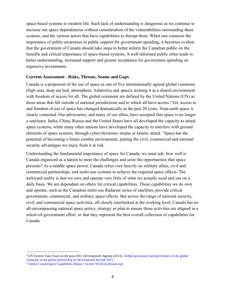space-based systems to modern life. Such lack of understanding is dangerous as we continue to increase our space dependencies without consideration of the vulnerabilities surrounding these systems, and the various actors that have capabilities to disrupt them. When one connects the importance of public awareness to public support for government spending, it becomes evident that the government of Canada should take steps to better inform the Canadian public on the benefits and critical importance of space-based systems. A well-informed public often leads to better understanding, increased support and greater acceptance for government spending on expensive investments.

#### **Current Assessment - Risks, Threats, Seams and Gaps**

Canada is a proponent of the use of space as one of five internationally agreed global commons (high seas, deep sea bed, atmosphere, Antarctica and space), treating it as a shared environment with freedom of access for all. The global commons are defined by the United Nations (UN) as those areas that fall outside of national jurisdictions and to which all have access. <sup>4</sup> Yet, access to and freedom of use of space has changed dramatically in the past 20 years. Near-earth space is clearly contested. Our adversaries, and many of our allies, have accepted that space is no longer a sanctuary. India, China, Russia and the United States have all developed the capacity to attack space systems, while many other nations have developed the capacity to interfere with ground elements of space systems, through cyber/electronic means or kinetic attack. <sup>5</sup> Space has the potential of becoming a future combat environment, putting the civil, commercial and national security advantages we enjoy from it at risk.

Understanding the fundamental importance of space for Canada, we must ask: how well is Canada organized as a nation to meet the challenges and seize the opportunities that space presents? As a middle space power, Canada relies very heavily on military allies, civil and commercial partnerships, and multi-use systems to achieve the required space effects. The awkward reality is that we own and operate very little of what we actually need and use on a daily basis. We are dependant on others for critical capabilities. Those capabilities we do own and operate, such as the Canadian multi-use Radarsat series of satellites, provide critical government, commercial, and military space effects. But across the range of national security, civil, and commercial space activities, all closely interlocked at the working level, Canada has no all-encompassing national space policy, strategy or plan to ensure those activities are aligned in a whole-of-government effort, or that they represent the best overall collection of capabilities for Canada.

<sup>4</sup> UN System Task Team on the post-2013 Development Agenda (2013). [Global governance and governance of the global](https://www.un.org/en/development/desa/policy/untaskteam_undf/thinkpieces/24_thinkpiece_global_governance.pdf)  [commons in the global partnership for development beyond 2015.](https://www.un.org/en/development/desa/policy/untaskteam_undf/thinkpieces/24_thinkpiece_global_governance.pdf)

<sup>5</sup> [Global Counterspace Capabilities Report | Secure World \(swfound.org\)](https://swfound.org/counterspace/?msclkid=20861b93ab8011ec80d13fc6aeae9bf7)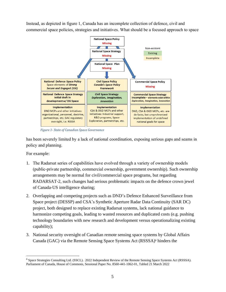Instead, as depicted in figure 1, Canada has an incomplete collection of defence, civil and commercial space policies, strategies and initiatives. What should be a focused approach to space



*Figure 1- State of Canadian Space Governance*

has been severely limited by a lack of national coordination, exposing serious gaps and seams in policy and planning.

For example:

- 1. The Radarsat series of capabilities have evolved through a variety of ownership models (public-private partnership, commercial ownership, government ownership). Such ownership arrangements may be normal for civil/commercial space programs, but regarding RADARSAT-2, such changes had serious problematic impacts on the defence crown jewel of Canada-US intelligence sharing;
- 2. Overlapping and competing projects such as DND's Defence Enhanced Surveillance from Space project (DESSP) and CSA's Synthetic Aperture Radar Data Continuity (SAR DC) project, both designed to replace existing Radarsat systems, lack national guidance to harmonize competing goals, leading to wasted resources and duplicated costs (e.g. pushing technology boundaries with new research and development versus operationalizing existing capability);
- 3. National security oversight of Canadian remote sensing space systems by Global Affairs Canada (GAC) via the Remote Sensing Space Systems Act (RSSSA)<sup>6</sup> hinders the

<sup>6</sup> Space Strategies Consulting Ltd. (SSCL). 2022 Independent Review of the Remote Sensing Space Systems Act (RSSSA). Parliament of Canada, House of Commons, Sessional Paper No. 8560-441-1062-01, Tabled 21 March 2022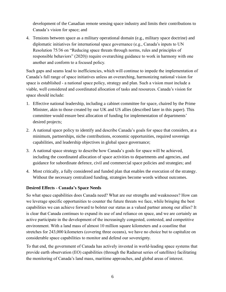development of the Canadian remote sensing space industry and limits their contributions to Canada's vision for space; and

4. Tensions between space as a military operational domain (e.g., military space doctrine) and diplomatic initiatives for international space governance (e.g., Canada's inputs to UN Resolution 75/36 on "Reducing space threats through norms, rules and principles of responsible behaviors" (2020)) require overarching guidance to work in harmony with one another and conform to a focused policy.

Such gaps and seams lead to inefficiencies, which will continue to impede the implementation of Canada's full range of space initiatives unless an overarching, harmonizing national vision for space is established - a national space policy, strategy and plan. Such a vision must include a viable, well considered and coordinated allocation of tasks and resources. Canada's vision for space should include:

- 1. Effective national leadership, including a cabinet committee for space, chaired by the Prime Minister, akin to those created by our UK and US allies (described later in this paper). This committee would ensure best allocation of funding for implementation of departments' desired projects;
- 2. A national space policy to identify and describe Canada's goals for space that considers, at a minimum, partnerships, niche contributions, economic opportunities, required sovereign capabilities, and leadership objectives in global space governance;
- 3. A national space strategy to describe how Canada's goals for space will be achieved, including the coordinated allocation of space activities to departments and agencies, and guidance for subordinate defence, civil and commercial space policies and strategies; and
- 4. Most critically, a fully considered and funded plan that enables the execution of the strategy. Without the necessary centralized funding, strategies become words without outcomes.

# **Desired Effects - Canada's Space Needs**

So what space capabilities does Canada need? What are our strengths and weaknesses? How can we leverage specific opportunities to counter the future threats we face, while bringing the best capabilities we can achieve forward to bolster our status as a valued partner among our allies? It is clear that Canada continues to expand its use of and reliance on space, and we are certainly an active participate in the development of the increasingly congested, contested, and competitive environment. With a land mass of almost 10 million square kilometers and a coastline that stretches for 243,000 kilometers (covering three oceans), we have no choice but to capitalize on considerable space capabilities to monitor and defend our sovereignty.

To that end, the government of Canada has actively invested in world-leading space systems that provide earth observation (EO) capabilities (through the Radarsat series of satellites) facilitating the monitoring of Canada's land mass, maritime approaches, and global areas of interest.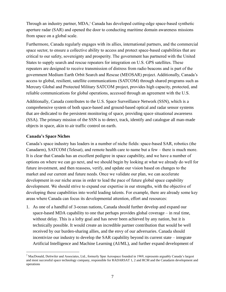Through an industry partner, MDA, <sup>7</sup> Canada has developed cutting-edge space-based synthetic aperture radar (SAR) and opened the door to conducting maritime domain awareness missions from space on a global scale.

Furthermore, Canada regularly engages with its allies, international partners, and the commercial space sector, to ensure a collective ability to access and protect space-based capabilities that are critical to our safety, sovereignty and prosperity. The government has partnered with the United States to supply search and rescue repeaters for integration on U.S. GPS satellites. These repeaters are designed to receive transmission of distress from radio beacons and is part of the government Medium Earth Orbit Search and Rescue (MEOSAR) project. Additionally, Canada's access to global, resilient, satellite communications (SATCOM) through shared programs such as Mercury Global and Protected Military SATCOM project, provides high capacity, protected, and reliable communications for global operations, accessed through an agreement with the U.S.

Additionally, Canada contributes to the U.S. Space Surveillance Network (SSN), which is a comprehensive system of both space-based and ground-based optical and radar sensor systems that are dedicated to the persistent monitoring of space, providing space situational awareness (SSA). The primary mission of the SSN is to detect, track, identify and catalogue all man-made objects in space, akin to air traffic control on earth.

# **Canada's Space Niches**

Canada's space industry has leaders in a number of niche fields: space-based SAR, robotics (the Canadarm), SATCOM (Telesat), and remote health care to name but a few – there is much more. It is clear that Canada has an excellent pedigree in space capability, and we have a number of options on where we can go next, and we should begin by looking at what we already do well for future investment, and then reassess, verify, and update our vision based on changes to the market and our current and future needs. Once we validate our plan, we can accelerate development in our niche areas in order to lead the pace of future global space capability development. We should strive to expand our expertise in our strengths, with the objective of developing these capabilities into world leading talents. For example, there are already some key areas where Canada can focus its developmental attention, effort and resources:

1. As one of a handful of 3-ocean nations, Canada should further develop and expand our space-based MDA capability to one that perhaps provides global coverage – in real time, without delay. This is a lofty goal and has never been achieved by any nation, but it is technically possible. It would create an incredible partner contribution that would be well received by our burden-sharing allies, and the envy of our adversaries. Canada should incentivize our industry to develop the SAR capability beyond its current state – integrate Artificial Intelligence and Machine Learning (AI/ML), and further expand development of

 $^7$  MacDonald, Dettwiler and Associates, Ltd., formerly Spar Aerospace founded in 1969, represents arguably Canada's largest and most successful space technology company, responsible for RADARSAT 1, 2 and RCM and the Canadarm development and operations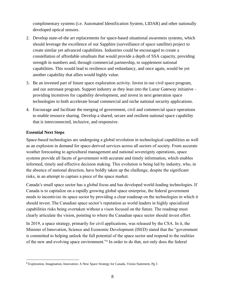complimentary systems (i.e. Automated Identification System, LIDAR) and other nationally developed optical sensors.

- 2. Develop state-of-the art replacements for space-based situational awareness systems, which should leverage the excellence of our Sapphire (surveillance of space satellite) project to create similar yet advanced capabilities. Industries could be encouraged to create a constellation of affordable smallsats that would provide a depth of SSA capacity, providing strength in numbers and, through commercial partnership, to supplement national capabilities. This would lead to resilience and redundancy, and once again, would be yet another capability that allies would highly value.
- 3. Be an invested part of future space exploration activity. Invest in our civil space program, and our astronaut program. Support industry as they lean into the Lunar Gateway initiative – providing incentives for capability development, and invest in next generation space technologies to both accelerate broad commercial and niche national security applications.
- 4. Encourage and facilitate the merging of government, civil and commercial space operations to enable resource sharing. Develop a shared, secure and resilient national space capability that is interconnected, inclusive, and responsive.

## **Essential Next Steps**

Space-based technologies are undergoing a global revolution in technological capabilities as well as an explosion in demand for space-derived services across all sectors of society. From accurate weather forecasting to agricultural management and national sovereignty operations, space systems provide all facets of government with accurate and timely information, which enables informed, timely and effective decision making. This evolution is being led by industry, who, in the absence of national direction, have boldly taken up the challenge, despite the significant risks, in an attempt to capture a piece of the space market.

Canada's small space sector has a global focus and has developed world-leading technologies. If Canada is to capitalize on a rapidly growing global space enterprise, the federal government needs to incentivize its space sector by providing a clear roadmap on the technologies in which it should invest. The Canadian space sector's reputation as world leaders in highly specialized capabilities risks being overtaken without a vison focused on the future. The roadmap must clearly articulate the vision, pointing to where the Canadian space sector should invest effort.

In 2019, a space strategy, primarily for civil applications, was released by the CSA. In it, the Minister of Innovation, Science and Economic Development (ISED) stated that the "government is committed to helping unlock the full potential of the space sector and respond to the realities of the new and evolving space environment."<sup>8</sup> In order to do that, not only does the federal

<sup>8</sup> Exploration, Imagination, Innovation: A New Space Strategy for Canada, Vision Statement, Pg 3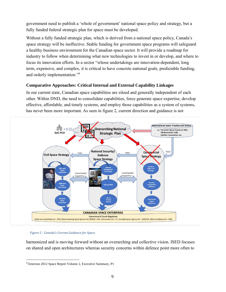government need to publish a 'whole of government' national space policy and strategy, but a fully funded federal strategic plan for space must be developed.

Without a fully funded strategic plan, which is derived from a national space policy, Canada's space strategy will be ineffective. Stable funding for government space programs will safeguard a healthy business environment for the Canadian space sector. It will provide a roadmap for industry to follow when determining what new technologies to invest in or develop, and where to focus its innovation efforts. In a sector "whose undertakings are innovation-dependent, long term, expensive, and complex, it is critical to have concrete national goals, predictable funding, and orderly implementation."<sup>9</sup>

# **Comparative Approaches: Critical Internal and External Capability Linkages**

In our current state, Canadian space capabilities are siloed and generally independent of each other. Within DND, the need to consolidate capabilities, force generate space expertise, develop effective, affordable, and timely systems, and employ those capabilities as a system of systems, has never been more important. As seen in figure 2, current direction and guidance is not



*Figure 2 - Canada's Current Guidance for Space*

harmonized and is moving forward without an overarching and collective vision. ISED focuses on shared and open architectures whereas security concerns within defence point more often to

<sup>9</sup> Emerson 2012 Space Report Volume 2, Executive Summary, P1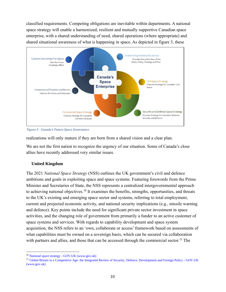classified requirements. Competing obligations are inevitable within departments. A national space strategy will enable a harmonized, resilient and mutually supportive Canadian space enterprise, with a shared understanding of need, shared operations (where appropriate) and shared situational awareness of what is happening in space. As depicted in figure 3, these



*Figure 3 - Canada's Future Space Governance*

realizations will only mature if they are born from a shared vision and a clear plan.

We are not the first nation to recognize the urgency of our situation. Some of Canada's close allies have recently addressed very similar issues.

# **United Kingdom**

The 2021 *National Space Strategy* (NSS) outlines the UK government's civil and defence ambitions and goals in exploiting space and space systems. Featuring forewords from the Prime Minister and Secretaries of State, the NSS represents a centralized intergovernmental approach to achieving national objectives.<sup>10</sup> It examines the benefits, strengths, opportunities, and threats to the UK's existing and emerging space sector and systems, referring to total employment, current and projected economic activity, and national security implications (e.g., missile warning and defence). Key points include the need for significant private sector investment in space activities, and the changing role of government from primarily a funder to an active customer of space systems and services. With regards to capability development and space system acquisition, the NSS refers to an 'own, collaborate or access' framework based on assessments of what capabilities must be owned on a sovereign basis, which can be secured via collaboration with partners and allies, and those that can be accessed through the commercial sector.<sup>11</sup> The

<sup>10</sup> National space strategy - [GOV.UK \(www.gov.uk\)](https://www.gov.uk/government/publications/national-space-strategy/national-space-strategy)

<sup>&</sup>lt;sup>11</sup> [Global Britain in a Competitive Age: the Integrated Review of Security, Defence, Development and Foreign Policy -](https://www.gov.uk/government/publications/global-britain-in-a-competitive-age-the-integrated-review-of-security-defence-development-and-foreign-policy) GOV.UK [\(www.gov.uk\)](https://www.gov.uk/government/publications/global-britain-in-a-competitive-age-the-integrated-review-of-security-defence-development-and-foreign-policy)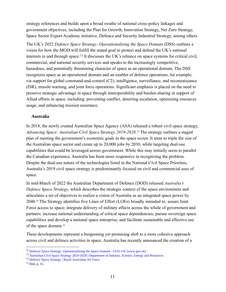strategy references and builds upon a broad swathe of national cross-policy linkages and government objectives, including the Plan for Growth, Innovation Strategy, Net Zero Strategy, Space Sector Export Academy initiative, Defence and Security Industrial Strategy, among others.

The UK's 2022 *Defence Space Strategy: Operationalising the Space Domain* (DSS) outlines a vision for how the MOD will fulfill the stated goal to protect and defend the UK's national interests in and through space.<sup>12</sup> It discusses the UK's reliance on space systems for critical civil, commercial, and national security services and speaks to the increasingly competitive, hazardous, and potentially threatening character of space as an operational domain. The DSS recognizes space as an operational domain and an enabler of defence operations, for example, via support for global command-and-control (C2), intelligence, surveillance, and reconnaissance (ISR), missile warning, and joint force operations. Significant emphasis is placed on the need to preserve strategic advantage in space through interoperability and burden-sharing in support of Allied efforts in space, including: preventing conflict, deterring escalation, optimizing resources usage, and enhancing mission assurance.

### **Australia**

In 2018, the newly created Australian Space Agency (ASA) released a robust civil space strategy, *Advancing Space: Australian Civil Space Strategy 2019-2028*. <sup>13</sup> The strategy outlines a staged plan of meeting the government's economic goals in the space sector. It aims to triple the size of the Australian space sector and create up to 20,000 jobs by 2030, while targeting dual-use capabilities that could be leveraged across government. While this may initially seem to parallel the Canadian experience, Australia has been more responsive in recognizing the problem. Despite the dual-use nature of the technologies listed in the National Civil Space Priorities, Australia's 2019 civil space strategy is predominantly focused on civil and commercial uses of space.

In mid-March of 2022 the Australian Department of Defence (DOD) released *Australia's Defence Space Strategy*, which describes the strategic context of the space environment and articulates a set of objectives to realize a vision of Australia as an integrated space power by 2040.<sup>14</sup> The Strategy identifies five Lines of Effort (LOEs) broadly intended to: assure Joint Force access to space; integrate delivery of military effects across the whole of government and partners; increase national understanding of critical space dependencies; pursue sovereign space capabilities and develop a national space enterprise; and facilitate sustainable and effective use of the space domain.<sup>15</sup>

These developments represent a burgeoning yet promising shift to a more cohesive approach across civil and defence activities in space. Australia has recently announced the creation of a

<sup>&</sup>lt;sup>12</sup> [Defence Space Strategy: Operationalising the Space Domain -](https://www.gov.uk/government/publications/defence-space-strategy-operationalising-the-space-domain?msclkid=9bc24556ac5d11ec9f3330cb22fdbd9c) GOV.UK (www.gov.uk)

<sup>&</sup>lt;sup>13</sup> [Australian Civil Space Strategy 2019-2028 | Department of Industry, Science, Energy and Resources](https://www.industry.gov.au/data-and-publications/australian-civil-space-strategy-2019-2028?msclkid=c3468fa0ac5d11ec90cb082c612441e0)

<sup>14</sup> [Defence Space Strategy | Royal Australian Air Force](https://www.airforce.gov.au/our-mission/defence-space-strategy#:~:text=The%20Strategy%20identifies%20five%20lines%20of%20effort%20to%3A,and%20partners%20in%20support%20of%20Australia%E2%80%99s%20national%20security?msclkid=4928e213ab9f11ecb767f3ae42a5726d)

<sup>15</sup> Ibid, p. 15.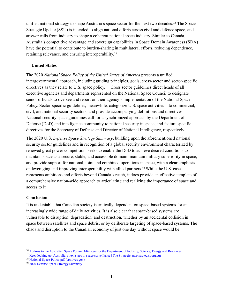unified national strategy to shape Australia's space sector for the next two decades.<sup>16</sup> The Space Strategic Update (SSU) is intended to align national efforts across civil and defence space, and answer calls from industry to shape a coherent national space industry. Similar to Canada, Australia's competitive advantage and sovereign capabilities in Space Domain Awareness (SDA) have the potential to contribute to burden-sharing in multilateral efforts, reducing dependence, retaining relevance, and ensuring interoperability.<sup>17</sup>

## **United States**

The 2020 *National Space Policy of the United States of America* presents a unified intergovernmental approach, including guiding principles, goals, cross-sector and sector-specific directives as they relate to U.S. space policy.<sup>18</sup> Cross sector guidelines direct heads of all executive agencies and departments represented on the National Space Council to designate senior officials to oversee and report on their agency's implementation of the National Space Policy. Sector-specific guidelines, meanwhile, categorize U.S. space activities into commercial, civil, and national security sectors, and provide accompanying definitions and directives. National security space guidelines call for a synchronized approach by the Department of Defense (DoD) and intelligence community to national security in space, and feature specific directives for the Secretary of Defense and Director of National Intelligence, respectively.

The 2020 U.S. *Defense Space Strategy Summary*, building upon the aforementioned national security sector guidelines and in recognition of a global security environment characterized by renewed great power competition, seeks to enable the DoD to achieve desired conditions to maintain space as a secure, stable, and accessible domain; maintain military superiority in space; and provide support for national, joint and combined operations in space, with a clear emphasis on leveraging and improving interoperability with allied partners. <sup>19</sup> While the U.S. case represents ambitions and efforts beyond Canada's reach, it does provide an effective template of a comprehensive nation-wide approach to articulating and realizing the importance of space and access to it.

### **Conclusion**

It is undeniable that Canadian society is critically dependent on space-based systems for an increasingly wide range of daily activities. It is also clear that space-based systems are vulnerable to disruption, degradation, and destruction, whether by an accidental collision in space between satellites and space debris, or by deliberate targeting of space-based systems. The chaos and disruption to the Canadian economy of just one day without space would be

<sup>&</sup>lt;sup>16</sup> [Address to the Australian Space Forum | Ministers for the Department of Industry, Science, Energy and Resources](https://www.minister.industry.gov.au/ministers/price/speeches/address-australian-space-forum)

<sup>&</sup>lt;sup>17</sup> [Keep looking up: Australia's next steps in space surveillance | The Strategist \(aspistrategist.org.au\)](https://www.aspistrategist.org.au/keep-looking-up-australias-next-steps-in-space-surveillance/)

<sup>18</sup> [National-Space-Policy.pdf \(archives.gov\)](https://trumpwhitehouse.archives.gov/wp-content/uploads/2020/12/National-Space-Policy.pdf?msclkid=6b4b2835a60411eca3e94e19ac598199)

<sup>19</sup> [2020 Defense Space Strategy Summary](https://media.defense.gov/2020/Jun/17/2002317391/-1/-1/1/2020_DEFENSE_SPACE_STRATEGY_SUMMARY.PDF?source=email&msclkid=d5fc73d2ac5d11ec895bf34339a9ec83)